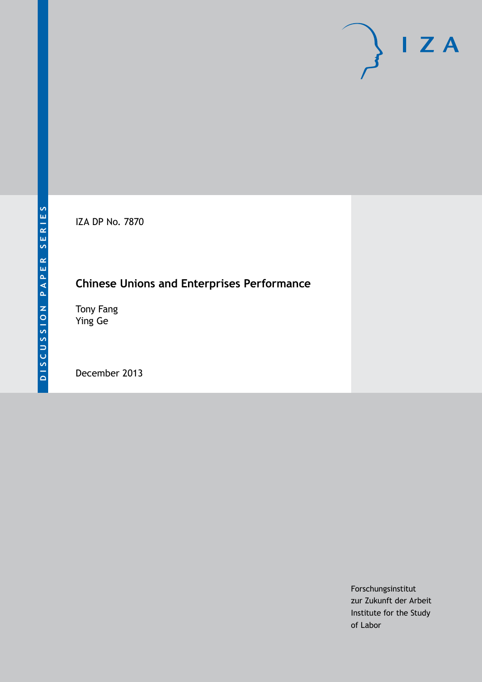IZA DP No. 7870

# **Chinese Unions and Enterprises Performance**

Tony Fang Ying Ge

December 2013

Forschungsinstitut zur Zukunft der Arbeit Institute for the Study of Labor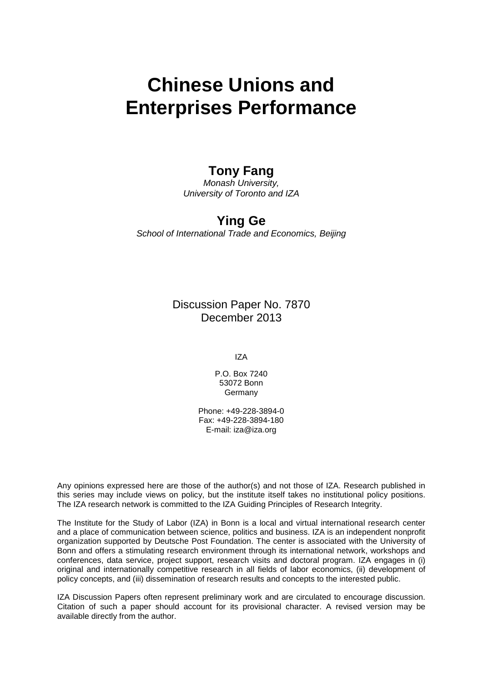# **Chinese Unions and Enterprises Performance**

### **Tony Fang**

*Monash University, University of Toronto and IZA*

## **Ying Ge**

*School of International Trade and Economics, Beijing*

Discussion Paper No. 7870 December 2013

IZA

P.O. Box 7240 53072 Bonn Germany

Phone: +49-228-3894-0 Fax: +49-228-3894-180 E-mail: [iza@iza.org](mailto:iza@iza.org)

Any opinions expressed here are those of the author(s) and not those of IZA. Research published in this series may include views on policy, but the institute itself takes no institutional policy positions. The IZA research network is committed to the IZA Guiding Principles of Research Integrity.

The Institute for the Study of Labor (IZA) in Bonn is a local and virtual international research center and a place of communication between science, politics and business. IZA is an independent nonprofit organization supported by Deutsche Post Foundation. The center is associated with the University of Bonn and offers a stimulating research environment through its international network, workshops and conferences, data service, project support, research visits and doctoral program. IZA engages in (i) original and internationally competitive research in all fields of labor economics, (ii) development of policy concepts, and (iii) dissemination of research results and concepts to the interested public.

IZA Discussion Papers often represent preliminary work and are circulated to encourage discussion. Citation of such a paper should account for its provisional character. A revised version may be available directly from the author.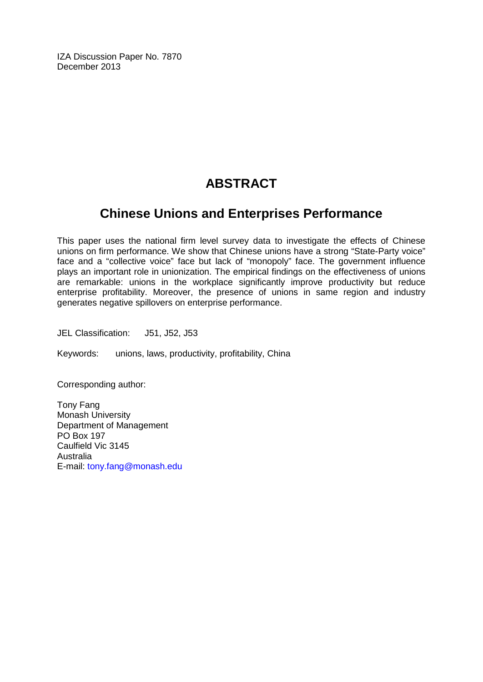IZA Discussion Paper No. 7870 December 2013

# **ABSTRACT**

## **Chinese Unions and Enterprises Performance**

This paper uses the national firm level survey data to investigate the effects of Chinese unions on firm performance. We show that Chinese unions have a strong "State-Party voice" face and a "collective voice" face but lack of "monopoly" face. The government influence plays an important role in unionization. The empirical findings on the effectiveness of unions are remarkable: unions in the workplace significantly improve productivity but reduce enterprise profitability. Moreover, the presence of unions in same region and industry generates negative spillovers on enterprise performance.

JEL Classification: J51, J52, J53

Keywords: unions, laws, productivity, profitability, China

Corresponding author:

Tony Fang Monash University Department of Management PO Box 197 Caulfield Vic 3145 Australia E-mail: [tony.fang@monash.edu](mailto:tony.fang@monash.edu)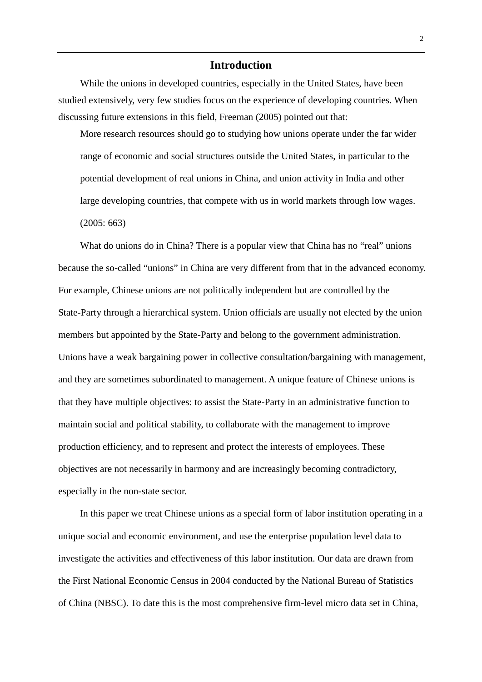#### **Introduction**

While the unions in developed countries, especially in the United States, have been studied extensively, very few studies focus on the experience of developing countries. When discussing future extensions in this field, Freeman (2005) pointed out that:

More research resources should go to studying how unions operate under the far wider range of economic and social structures outside the United States, in particular to the potential development of real unions in China, and union activity in India and other large developing countries, that compete with us in world markets through low wages. (2005: 663)

What do unions do in China? There is a popular view that China has no "real" unions because the so-called "unions" in China are very different from that in the advanced economy. For example, Chinese unions are not politically independent but are controlled by the State-Party through a hierarchical system. Union officials are usually not elected by the union members but appointed by the State-Party and belong to the government administration. Unions have a weak bargaining power in collective consultation/bargaining with management, and they are sometimes subordinated to management. A unique feature of Chinese unions is that they have multiple objectives: to assist the State-Party in an administrative function to maintain social and political stability, to collaborate with the management to improve production efficiency, and to represent and protect the interests of employees. These objectives are not necessarily in harmony and are increasingly becoming contradictory, especially in the non-state sector.

In this paper we treat Chinese unions as a special form of labor institution operating in a unique social and economic environment, and use the enterprise population level data to investigate the activities and effectiveness of this labor institution. Our data are drawn from the First National Economic Census in 2004 conducted by the National Bureau of Statistics of China (NBSC). To date this is the most comprehensive firm-level micro data set in China,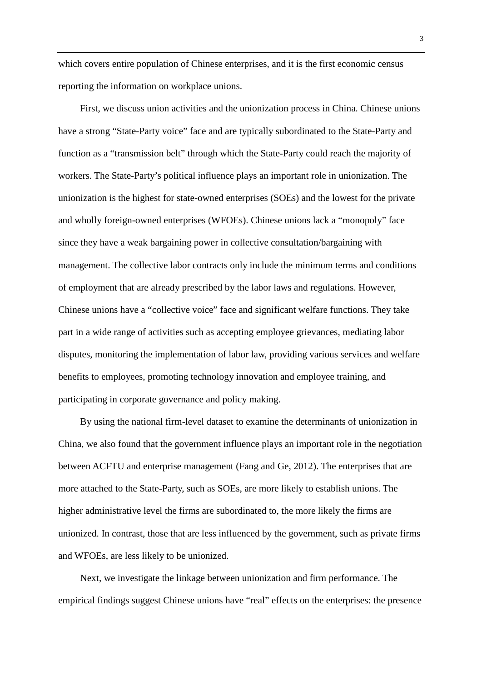which covers entire population of Chinese enterprises, and it is the first economic census reporting the information on workplace unions.

First, we discuss union activities and the unionization process in China. Chinese unions have a strong "State-Party voice" face and are typically subordinated to the State-Party and function as a "transmission belt" through which the State-Party could reach the majority of workers. The State-Party's political influence plays an important role in unionization. The unionization is the highest for state-owned enterprises (SOEs) and the lowest for the private and wholly foreign-owned enterprises (WFOEs). Chinese unions lack a "monopoly" face since they have a weak bargaining power in collective consultation/bargaining with management. The collective labor contracts only include the minimum terms and conditions of employment that are already prescribed by the labor laws and regulations. However, Chinese unions have a "collective voice" face and significant welfare functions. They take part in a wide range of activities such as accepting employee grievances, mediating labor disputes, monitoring the implementation of labor law, providing various services and welfare benefits to employees, promoting technology innovation and employee training, and participating in corporate governance and policy making.

By using the national firm-level dataset to examine the determinants of unionization in China, we also found that the government influence plays an important role in the negotiation between ACFTU and enterprise management (Fang and Ge, 2012). The enterprises that are more attached to the State-Party, such as SOEs, are more likely to establish unions. The higher administrative level the firms are subordinated to, the more likely the firms are unionized. In contrast, those that are less influenced by the government, such as private firms and WFOEs, are less likely to be unionized.

Next, we investigate the linkage between unionization and firm performance. The empirical findings suggest Chinese unions have "real" effects on the enterprises: the presence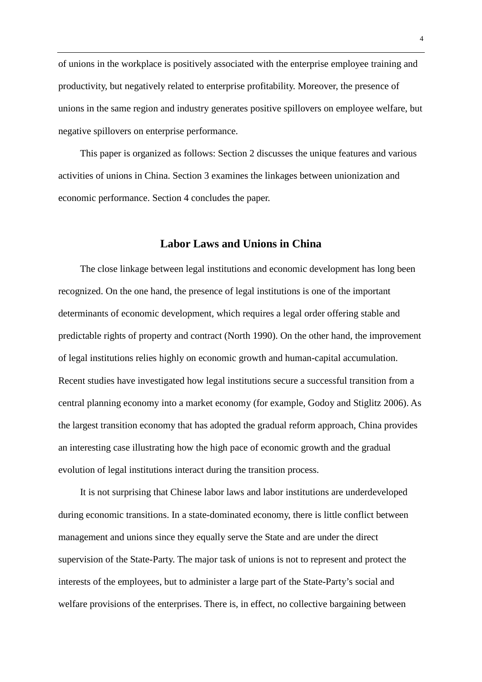of unions in the workplace is positively associated with the enterprise employee training and productivity, but negatively related to enterprise profitability. Moreover, the presence of unions in the same region and industry generates positive spillovers on employee welfare, but negative spillovers on enterprise performance.

This paper is organized as follows: Section 2 discusses the unique features and various activities of unions in China. Section 3 examines the linkages between unionization and economic performance. Section 4 concludes the paper.

### **Labor Laws and Unions in China**

The close linkage between legal institutions and economic development has long been recognized. On the one hand, the presence of legal institutions is one of the important determinants of economic development, which requires a legal order offering stable and predictable rights of property and contract (North 1990). On the other hand, the improvement of legal institutions relies highly on economic growth and human-capital accumulation. Recent studies have investigated how legal institutions secure a successful transition from a central planning economy into a market economy (for example, Godoy and Stiglitz 2006). As the largest transition economy that has adopted the gradual reform approach, China provides an interesting case illustrating how the high pace of economic growth and the gradual evolution of legal institutions interact during the transition process.

It is not surprising that Chinese labor laws and labor institutions are underdeveloped during economic transitions. In a state-dominated economy, there is little conflict between management and unions since they equally serve the State and are under the direct supervision of the State-Party. The major task of unions is not to represent and protect the interests of the employees, but to administer a large part of the State-Party's social and welfare provisions of the enterprises. There is, in effect, no collective bargaining between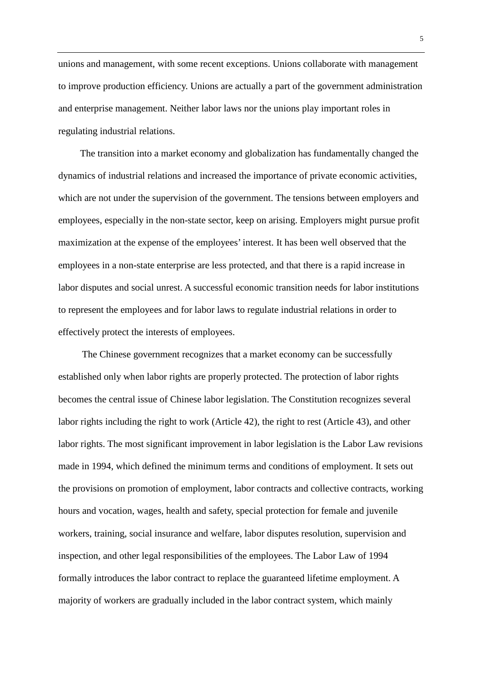unions and management, with some recent exceptions. Unions collaborate with management to improve production efficiency. Unions are actually a part of the government administration and enterprise management. Neither labor laws nor the unions play important roles in regulating industrial relations.

The transition into a market economy and globalization has fundamentally changed the dynamics of industrial relations and increased the importance of private economic activities, which are not under the supervision of the government. The tensions between employers and employees, especially in the non-state sector, keep on arising. Employers might pursue profit maximization at the expense of the employees' interest. It has been well observed that the employees in a non-state enterprise are less protected, and that there is a rapid increase in labor disputes and social unrest. A successful economic transition needs for labor institutions to represent the employees and for labor laws to regulate industrial relations in order to effectively protect the interests of employees.

The Chinese government recognizes that a market economy can be successfully established only when labor rights are properly protected. The protection of labor rights becomes the central issue of Chinese labor legislation. The Constitution recognizes several labor rights including the right to work (Article 42), the right to rest (Article 43), and other labor rights. The most significant improvement in labor legislation is the Labor Law revisions made in 1994, which defined the minimum terms and conditions of employment. It sets out the provisions on promotion of employment, labor contracts and collective contracts, working hours and vocation, wages, health and safety, special protection for female and juvenile workers, training, social insurance and welfare, labor disputes resolution, supervision and inspection, and other legal responsibilities of the employees. The Labor Law of 1994 formally introduces the labor contract to replace the guaranteed lifetime employment. A majority of workers are gradually included in the labor contract system, which mainly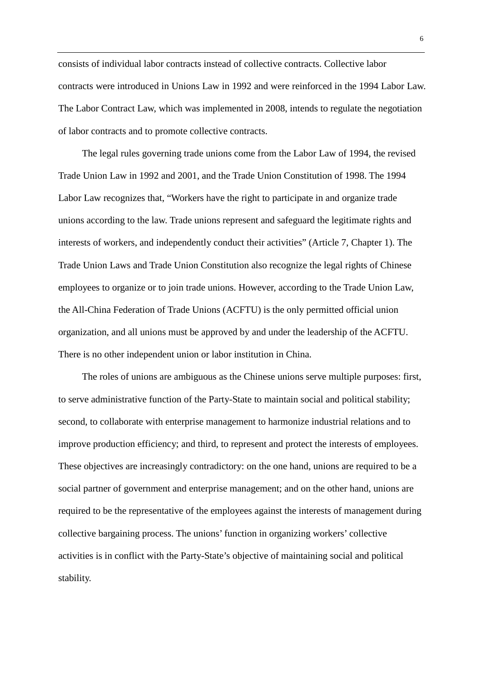consists of individual labor contracts instead of collective contracts. Collective labor contracts were introduced in Unions Law in 1992 and were reinforced in the 1994 Labor Law. The Labor Contract Law, which was implemented in 2008, intends to regulate the negotiation of labor contracts and to promote collective contracts.

The legal rules governing trade unions come from the Labor Law of 1994, the revised Trade Union Law in 1992 and 2001, and the Trade Union Constitution of 1998. The 1994 Labor Law recognizes that, "Workers have the right to participate in and organize trade unions according to the law. Trade unions represent and safeguard the legitimate rights and interests of workers, and independently conduct their activities" (Article 7, Chapter 1). The Trade Union Laws and Trade Union Constitution also recognize the legal rights of Chinese employees to organize or to join trade unions. However, according to the Trade Union Law, the All-China Federation of Trade Unions (ACFTU) is the only permitted official union organization, and all unions must be approved by and under the leadership of the ACFTU. There is no other independent union or labor institution in China.

The roles of unions are ambiguous as the Chinese unions serve multiple purposes: first, to serve administrative function of the Party-State to maintain social and political stability; second, to collaborate with enterprise management to harmonize industrial relations and to improve production efficiency; and third, to represent and protect the interests of employees. These objectives are increasingly contradictory: on the one hand, unions are required to be a social partner of government and enterprise management; and on the other hand, unions are required to be the representative of the employees against the interests of management during collective bargaining process. The unions' function in organizing workers' collective activities is in conflict with the Party-State's objective of maintaining social and political stability.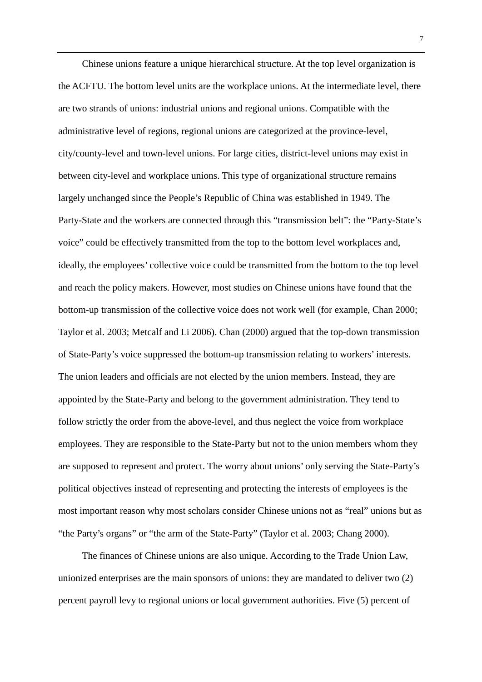Chinese unions feature a unique hierarchical structure. At the top level organization is the ACFTU. The bottom level units are the workplace unions. At the intermediate level, there are two strands of unions: industrial unions and regional unions. Compatible with the administrative level of regions, regional unions are categorized at the province-level, city/county-level and town-level unions. For large cities, district-level unions may exist in between city-level and workplace unions. This type of organizational structure remains largely unchanged since the People's Republic of China was established in 1949. The Party-State and the workers are connected through this "transmission belt": the "Party-State's voice" could be effectively transmitted from the top to the bottom level workplaces and, ideally, the employees' collective voice could be transmitted from the bottom to the top level and reach the policy makers. However, most studies on Chinese unions have found that the bottom-up transmission of the collective voice does not work well (for example, Chan 2000; Taylor et al. 2003; Metcalf and Li 2006). Chan (2000) argued that the top-down transmission of State-Party's voice suppressed the bottom-up transmission relating to workers' interests. The union leaders and officials are not elected by the union members. Instead, they are appointed by the State-Party and belong to the government administration. They tend to follow strictly the order from the above-level, and thus neglect the voice from workplace employees. They are responsible to the State-Party but not to the union members whom they are supposed to represent and protect. The worry about unions' only serving the State-Party's political objectives instead of representing and protecting the interests of employees is the most important reason why most scholars consider Chinese unions not as "real" unions but as "the Party's organs" or "the arm of the State-Party" (Taylor et al. 2003; Chang 2000).

The finances of Chinese unions are also unique. According to the Trade Union Law, unionized enterprises are the main sponsors of unions: they are mandated to deliver two (2) percent payroll levy to regional unions or local government authorities. Five (5) percent of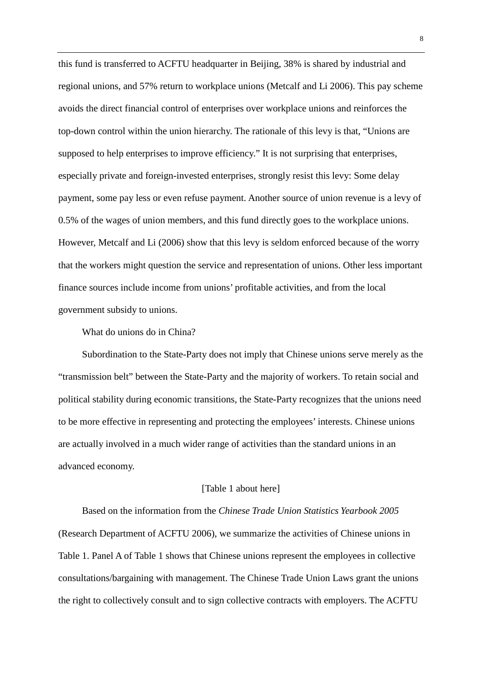this fund is transferred to ACFTU headquarter in Beijing, 38% is shared by industrial and regional unions, and 57% return to workplace unions (Metcalf and Li 2006). This pay scheme avoids the direct financial control of enterprises over workplace unions and reinforces the top-down control within the union hierarchy. The rationale of this levy is that, "Unions are supposed to help enterprises to improve efficiency." It is not surprising that enterprises, especially private and foreign-invested enterprises, strongly resist this levy: Some delay payment, some pay less or even refuse payment. Another source of union revenue is a levy of 0.5% of the wages of union members, and this fund directly goes to the workplace unions. However, Metcalf and Li (2006) show that this levy is seldom enforced because of the worry that the workers might question the service and representation of unions. Other less important finance sources include income from unions' profitable activities, and from the local government subsidy to unions.

What do unions do in China?

Subordination to the State-Party does not imply that Chinese unions serve merely as the "transmission belt" between the State-Party and the majority of workers. To retain social and political stability during economic transitions, the State-Party recognizes that the unions need to be more effective in representing and protecting the employees' interests. Chinese unions are actually involved in a much wider range of activities than the standard unions in an advanced economy.

#### [Table 1 about here]

Based on the information from the *Chinese Trade Union Statistics Yearbook 2005* (Research Department of ACFTU 2006), we summarize the activities of Chinese unions in Table 1. Panel A of Table 1 shows that Chinese unions represent the employees in collective consultations/bargaining with management. The Chinese Trade Union Laws grant the unions the right to collectively consult and to sign collective contracts with employers. The ACFTU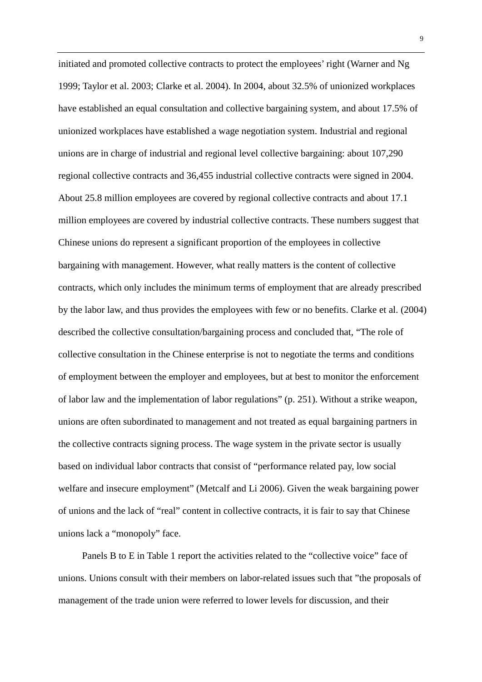initiated and promoted collective contracts to protect the employees' right (Warner and Ng 1999; Taylor et al. 2003; Clarke et al. 2004). In 2004, about 32.5% of unionized workplaces have established an equal consultation and collective bargaining system, and about 17.5% of unionized workplaces have established a wage negotiation system. Industrial and regional unions are in charge of industrial and regional level collective bargaining: about 107,290 regional collective contracts and 36,455 industrial collective contracts were signed in 2004. About 25.8 million employees are covered by regional collective contracts and about 17.1 million employees are covered by industrial collective contracts. These numbers suggest that Chinese unions do represent a significant proportion of the employees in collective bargaining with management. However, what really matters is the content of collective contracts, which only includes the minimum terms of employment that are already prescribed by the labor law, and thus provides the employees with few or no benefits. Clarke et al. (2004) described the collective consultation/bargaining process and concluded that, "The role of collective consultation in the Chinese enterprise is not to negotiate the terms and conditions of employment between the employer and employees, but at best to monitor the enforcement of labor law and the implementation of labor regulations" (p. 251). Without a strike weapon, unions are often subordinated to management and not treated as equal bargaining partners in the collective contracts signing process. The wage system in the private sector is usually based on individual labor contracts that consist of "performance related pay, low social welfare and insecure employment" (Metcalf and Li 2006). Given the weak bargaining power of unions and the lack of "real" content in collective contracts, it is fair to say that Chinese unions lack a "monopoly" face.

Panels B to E in Table 1 report the activities related to the "collective voice" face of unions. Unions consult with their members on labor-related issues such that "the proposals of management of the trade union were referred to lower levels for discussion, and their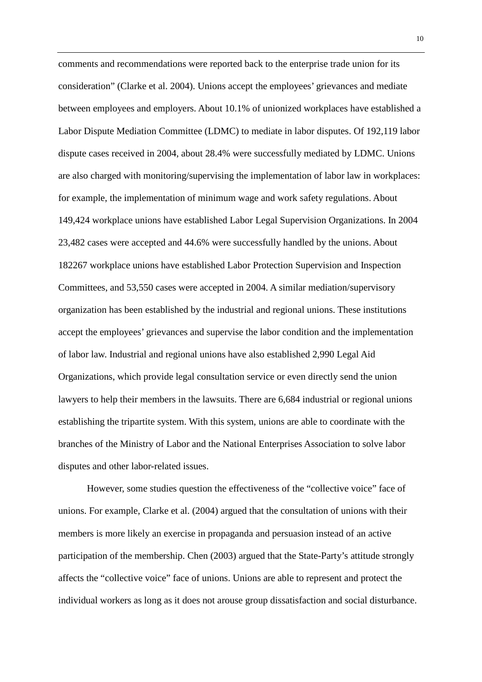comments and recommendations were reported back to the enterprise trade union for its consideration" (Clarke et al. 2004). Unions accept the employees' grievances and mediate between employees and employers. About 10.1% of unionized workplaces have established a Labor Dispute Mediation Committee (LDMC) to mediate in labor disputes. Of 192,119 labor dispute cases received in 2004, about 28.4% were successfully mediated by LDMC. Unions are also charged with monitoring/supervising the implementation of labor law in workplaces: for example, the implementation of minimum wage and work safety regulations. About 149,424 workplace unions have established Labor Legal Supervision Organizations. In 2004 23,482 cases were accepted and 44.6% were successfully handled by the unions. About 182267 workplace unions have established Labor Protection Supervision and Inspection Committees, and 53,550 cases were accepted in 2004. A similar mediation/supervisory organization has been established by the industrial and regional unions. These institutions accept the employees' grievances and supervise the labor condition and the implementation of labor law. Industrial and regional unions have also established 2,990 Legal Aid Organizations, which provide legal consultation service or even directly send the union lawyers to help their members in the lawsuits. There are 6,684 industrial or regional unions establishing the tripartite system. With this system, unions are able to coordinate with the branches of the Ministry of Labor and the National Enterprises Association to solve labor disputes and other labor-related issues.

However, some studies question the effectiveness of the "collective voice" face of unions. For example, Clarke et al. (2004) argued that the consultation of unions with their members is more likely an exercise in propaganda and persuasion instead of an active participation of the membership. Chen (2003) argued that the State-Party's attitude strongly affects the "collective voice" face of unions. Unions are able to represent and protect the individual workers as long as it does not arouse group dissatisfaction and social disturbance.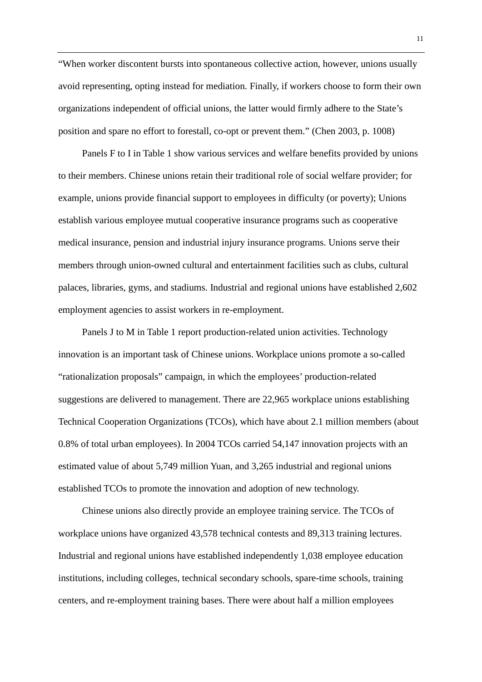"When worker discontent bursts into spontaneous collective action, however, unions usually avoid representing, opting instead for mediation. Finally, if workers choose to form their own organizations independent of official unions, the latter would firmly adhere to the State's position and spare no effort to forestall, co-opt or prevent them." (Chen 2003, p. 1008)

Panels F to I in Table 1 show various services and welfare benefits provided by unions to their members. Chinese unions retain their traditional role of social welfare provider; for example, unions provide financial support to employees in difficulty (or poverty); Unions establish various employee mutual cooperative insurance programs such as cooperative medical insurance, pension and industrial injury insurance programs. Unions serve their members through union-owned cultural and entertainment facilities such as clubs, cultural palaces, libraries, gyms, and stadiums. Industrial and regional unions have established 2,602 employment agencies to assist workers in re-employment.

Panels J to M in Table 1 report production-related union activities. Technology innovation is an important task of Chinese unions. Workplace unions promote a so-called "rationalization proposals" campaign, in which the employees' production-related suggestions are delivered to management. There are 22,965 workplace unions establishing Technical Cooperation Organizations (TCOs), which have about 2.1 million members (about 0.8% of total urban employees). In 2004 TCOs carried 54,147 innovation projects with an estimated value of about 5,749 million Yuan, and 3,265 industrial and regional unions established TCOs to promote the innovation and adoption of new technology.

Chinese unions also directly provide an employee training service. The TCOs of workplace unions have organized 43,578 technical contests and 89,313 training lectures. Industrial and regional unions have established independently 1,038 employee education institutions, including colleges, technical secondary schools, spare-time schools, training centers, and re-employment training bases. There were about half a million employees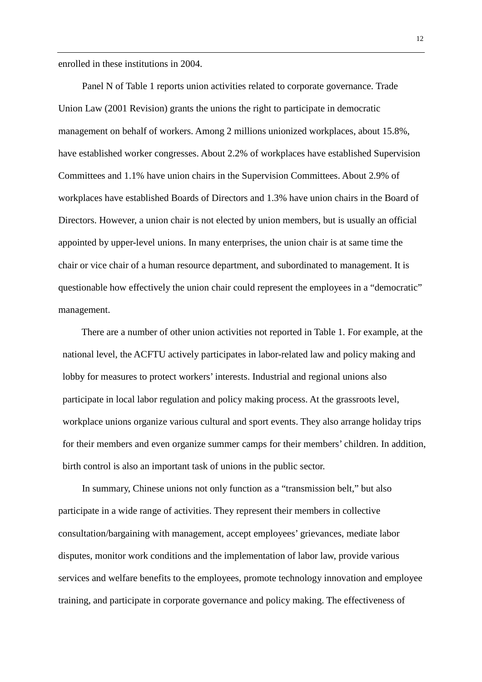enrolled in these institutions in 2004.

Panel N of Table 1 reports union activities related to corporate governance. Trade Union Law (2001 Revision) grants the unions the right to participate in democratic management on behalf of workers. Among 2 millions unionized workplaces, about 15.8%, have established worker congresses. About 2.2% of workplaces have established Supervision Committees and 1.1% have union chairs in the Supervision Committees. About 2.9% of workplaces have established Boards of Directors and 1.3% have union chairs in the Board of Directors. However, a union chair is not elected by union members, but is usually an official appointed by upper-level unions. In many enterprises, the union chair is at same time the chair or vice chair of a human resource department, and subordinated to management. It is questionable how effectively the union chair could represent the employees in a "democratic" management.

There are a number of other union activities not reported in Table 1. For example, at the national level, the ACFTU actively participates in labor-related law and policy making and lobby for measures to protect workers' interests. Industrial and regional unions also participate in local labor regulation and policy making process. At the grassroots level, workplace unions organize various cultural and sport events. They also arrange holiday trips for their members and even organize summer camps for their members' children. In addition, birth control is also an important task of unions in the public sector.

In summary, Chinese unions not only function as a "transmission belt," but also participate in a wide range of activities. They represent their members in collective consultation/bargaining with management, accept employees' grievances, mediate labor disputes, monitor work conditions and the implementation of labor law, provide various services and welfare benefits to the employees, promote technology innovation and employee training, and participate in corporate governance and policy making. The effectiveness of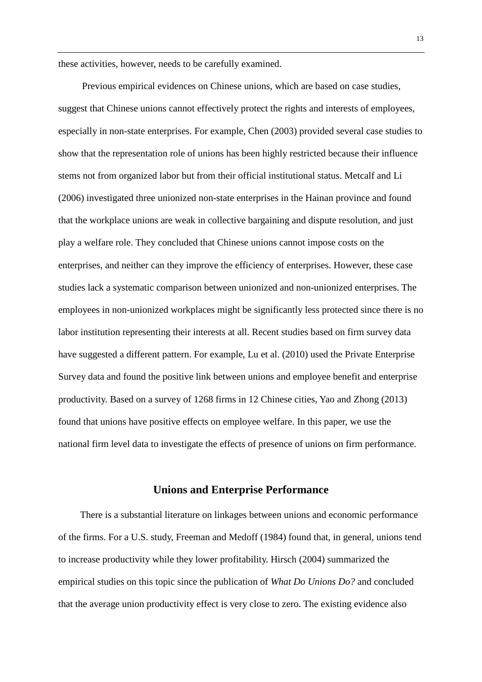these activities, however, needs to be carefully examined.

Previous empirical evidences on Chinese unions, which are based on case studies, suggest that Chinese unions cannot effectively protect the rights and interests of employees, especially in non-state enterprises. For example, Chen (2003) provided several case studies to show that the representation role of unions has been highly restricted because their influence stems not from organized labor but from their official institutional status. Metcalf and Li (2006) investigated three unionized non-state enterprises in the Hainan province and found that the workplace unions are weak in collective bargaining and dispute resolution, and just play a welfare role. They concluded that Chinese unions cannot impose costs on the enterprises, and neither can they improve the efficiency of enterprises. However, these case studies lack a systematic comparison between unionized and non-unionized enterprises. The employees in non-unionized workplaces might be significantly less protected since there is no labor institution representing their interests at all. Recent studies based on firm survey data have suggested a different pattern. For example, Lu et al. (2010) used the Private Enterprise Survey data and found the positive link between unions and employee benefit and enterprise productivity. Based on a survey of 1268 firms in 12 Chinese cities, Yao and Zhong (2013) found that unions have positive effects on employee welfare. In this paper, we use the national firm level data to investigate the effects of presence of unions on firm performance.

#### **Unions and Enterprise Performance**

There is a substantial literature on linkages between unions and economic performance of the firms. For a U.S. study, Freeman and Medoff (1984) found that, in general, unions tend to increase productivity while they lower profitability. Hirsch (2004) summarized the empirical studies on this topic since the publication of *What Do Unions Do?* and concluded that the average union productivity effect is very close to zero. The existing evidence also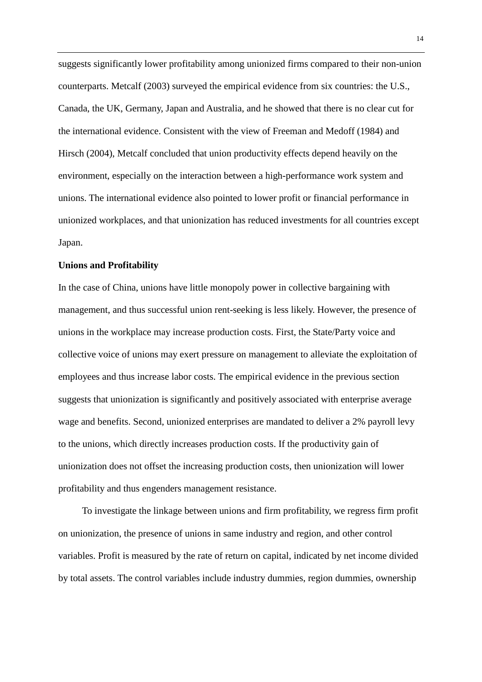suggests significantly lower profitability among unionized firms compared to their non-union counterparts. Metcalf (2003) surveyed the empirical evidence from six countries: the U.S., Canada, the UK, Germany, Japan and Australia, and he showed that there is no clear cut for the international evidence. Consistent with the view of Freeman and Medoff (1984) and Hirsch (2004), Metcalf concluded that union productivity effects depend heavily on the environment, especially on the interaction between a high-performance work system and unions. The international evidence also pointed to lower profit or financial performance in unionized workplaces, and that unionization has reduced investments for all countries except Japan.

#### **Unions and Profitability**

In the case of China, unions have little monopoly power in collective bargaining with management, and thus successful union rent-seeking is less likely. However, the presence of unions in the workplace may increase production costs. First, the State/Party voice and collective voice of unions may exert pressure on management to alleviate the exploitation of employees and thus increase labor costs. The empirical evidence in the previous section suggests that unionization is significantly and positively associated with enterprise average wage and benefits. Second, unionized enterprises are mandated to deliver a 2% payroll levy to the unions, which directly increases production costs. If the productivity gain of unionization does not offset the increasing production costs, then unionization will lower profitability and thus engenders management resistance.

To investigate the linkage between unions and firm profitability, we regress firm profit on unionization, the presence of unions in same industry and region, and other control variables. Profit is measured by the rate of return on capital, indicated by net income divided by total assets. The control variables include industry dummies, region dummies, ownership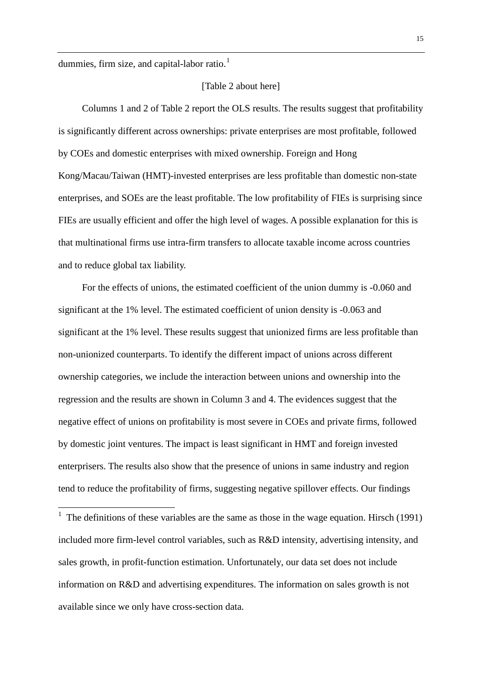dummies, firm size, and capital-labor ratio.<sup>1</sup>

#### [Table 2 about here]

Columns 1 and 2 of Table 2 report the OLS results. The results suggest that profitability is significantly different across ownerships: private enterprises are most profitable, followed by COEs and domestic enterprises with mixed ownership. Foreign and Hong Kong/Macau/Taiwan (HMT)-invested enterprises are less profitable than domestic non-state enterprises, and SOEs are the least profitable. The low profitability of FIEs is surprising since FIEs are usually efficient and offer the high level of wages. A possible explanation for this is that multinational firms use intra-firm transfers to allocate taxable income across countries and to reduce global tax liability.

For the effects of unions, the estimated coefficient of the union dummy is -0.060 and significant at the 1% level. The estimated coefficient of union density is -0.063 and significant at the 1% level. These results suggest that unionized firms are less profitable than non-unionized counterparts. To identify the different impact of unions across different ownership categories, we include the interaction between unions and ownership into the regression and the results are shown in Column 3 and 4. The evidences suggest that the negative effect of unions on profitability is most severe in COEs and private firms, followed by domestic joint ventures. The impact is least significant in HMT and foreign invested enterprisers. The results also show that the presence of unions in same industry and region tend to reduce the profitability of firms, suggesting negative spillover effects. Our findings

<span id="page-16-0"></span><sup>&</sup>lt;sup>1</sup> The definitions of these variables are the same as those in the wage equation. Hirsch (1991) included more firm-level control variables, such as R&D intensity, advertising intensity, and sales growth, in profit-function estimation. Unfortunately, our data set does not include information on R&D and advertising expenditures. The information on sales growth is not available since we only have cross-section data.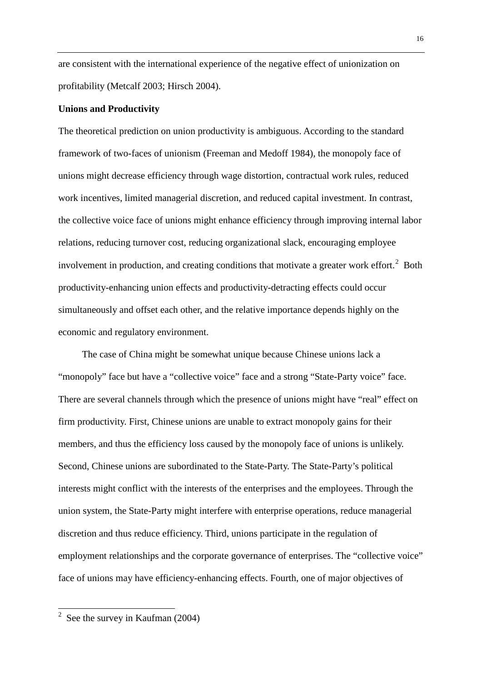are consistent with the international experience of the negative effect of unionization on profitability (Metcalf 2003; Hirsch 2004).

#### **Unions and Productivity**

The theoretical prediction on union productivity is ambiguous. According to the standard framework of two-faces of unionism (Freeman and Medoff 1984), the monopoly face of unions might decrease efficiency through wage distortion, contractual work rules, reduced work incentives, limited managerial discretion, and reduced capital investment. In contrast, the collective voice face of unions might enhance efficiency through improving internal labor relations, reducing turnover cost, reducing organizational slack, encouraging employee involvement in production, and creating conditions that motivate a greater work effort.<sup>[2](#page-16-0)</sup> Both productivity-enhancing union effects and productivity-detracting effects could occur simultaneously and offset each other, and the relative importance depends highly on the economic and regulatory environment.

The case of China might be somewhat unique because Chinese unions lack a "monopoly" face but have a "collective voice" face and a strong "State-Party voice" face. There are several channels through which the presence of unions might have "real" effect on firm productivity. First, Chinese unions are unable to extract monopoly gains for their members, and thus the efficiency loss caused by the monopoly face of unions is unlikely. Second, Chinese unions are subordinated to the State-Party. The State-Party's political interests might conflict with the interests of the enterprises and the employees. Through the union system, the State-Party might interfere with enterprise operations, reduce managerial discretion and thus reduce efficiency. Third, unions participate in the regulation of employment relationships and the corporate governance of enterprises. The "collective voice" face of unions may have efficiency-enhancing effects. Fourth, one of major objectives of

<span id="page-17-0"></span> $2$  See the survey in Kaufman (2004)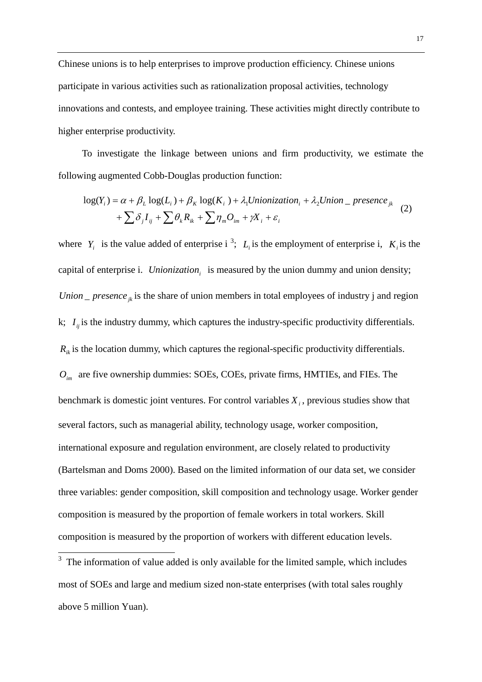Chinese unions is to help enterprises to improve production efficiency. Chinese unions participate in various activities such as rationalization proposal activities, technology innovations and contests, and employee training. These activities might directly contribute to higher enterprise productivity.

To investigate the linkage between unions and firm productivity, we estimate the following augmented Cobb-Douglas production function:

$$
\log(Y_i) = \alpha + \beta_L \log(L_i) + \beta_K \log(K_i) + \lambda_1 Unionization_i + \lambda_2Union\_presence_{jk}
$$
  
+ 
$$
\sum \delta_j I_{ij} + \sum \theta_k R_{ik} + \sum \eta_m O_{im} + \gamma X_i + \varepsilon_i
$$
 (2)

where  $Y_i$  is the value added of enterprise i<sup>[3](#page-17-0)</sup>;  $L_i$  is the employment of enterprise i,  $K_i$  is the capital of enterprise i. *Unionization*<sub>i</sub> is measured by the union dummy and union density; *Union*  $\Delta$  *presence*  $\alpha$  *k* is the share of union members in total employees of industry j and region k;  $I_{ii}$  is the industry dummy, which captures the industry-specific productivity differentials.  $R_{ik}$  is the location dummy, which captures the regional-specific productivity differentials. *Oim* are five ownership dummies: SOEs, COEs, private firms, HMTIEs, and FIEs. The benchmark is domestic joint ventures. For control variables  $X_i$ , previous studies show that several factors, such as managerial ability, technology usage, worker composition, international exposure and regulation environment, are closely related to productivity (Bartelsman and Doms 2000). Based on the limited information of our data set, we consider three variables: gender composition, skill composition and technology usage. Worker gender composition is measured by the proportion of female workers in total workers. Skill composition is measured by the proportion of workers with different education levels.

 $3$  The information of value added is only available for the limited sample, which includes most of SOEs and large and medium sized non-state enterprises (with total sales roughly above 5 million Yuan).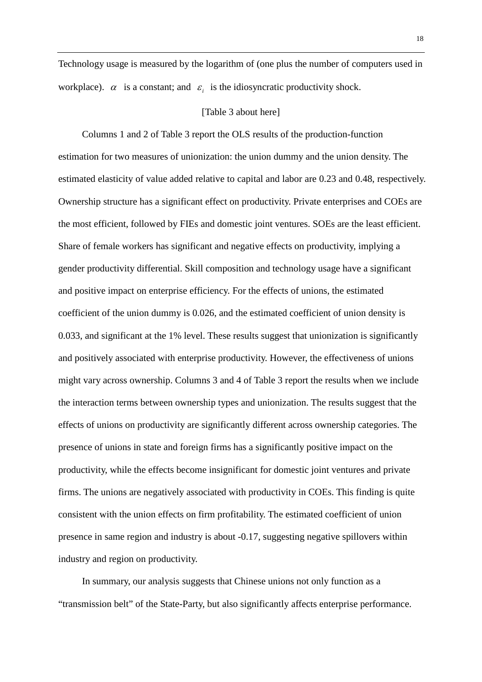Technology usage is measured by the logarithm of (one plus the number of computers used in workplace).  $\alpha$  is a constant; and  $\varepsilon_i$  is the idiosyncratic productivity shock.

#### [Table 3 about here]

Columns 1 and 2 of Table 3 report the OLS results of the production-function estimation for two measures of unionization: the union dummy and the union density. The estimated elasticity of value added relative to capital and labor are 0.23 and 0.48, respectively. Ownership structure has a significant effect on productivity. Private enterprises and COEs are the most efficient, followed by FIEs and domestic joint ventures. SOEs are the least efficient. Share of female workers has significant and negative effects on productivity, implying a gender productivity differential. Skill composition and technology usage have a significant and positive impact on enterprise efficiency. For the effects of unions, the estimated coefficient of the union dummy is 0.026, and the estimated coefficient of union density is 0.033, and significant at the 1% level. These results suggest that unionization is significantly and positively associated with enterprise productivity. However, the effectiveness of unions might vary across ownership. Columns 3 and 4 of Table 3 report the results when we include the interaction terms between ownership types and unionization. The results suggest that the effects of unions on productivity are significantly different across ownership categories. The presence of unions in state and foreign firms has a significantly positive impact on the productivity, while the effects become insignificant for domestic joint ventures and private firms. The unions are negatively associated with productivity in COEs. This finding is quite consistent with the union effects on firm profitability. The estimated coefficient of union presence in same region and industry is about -0.17, suggesting negative spillovers within industry and region on productivity.

In summary, our analysis suggests that Chinese unions not only function as a "transmission belt" of the State-Party, but also significantly affects enterprise performance.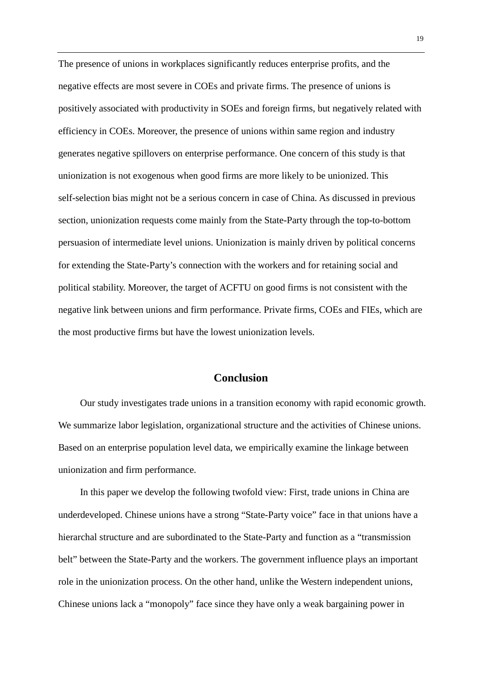The presence of unions in workplaces significantly reduces enterprise profits, and the negative effects are most severe in COEs and private firms. The presence of unions is positively associated with productivity in SOEs and foreign firms, but negatively related with efficiency in COEs. Moreover, the presence of unions within same region and industry generates negative spillovers on enterprise performance. One concern of this study is that unionization is not exogenous when good firms are more likely to be unionized. This self-selection bias might not be a serious concern in case of China. As discussed in previous section, unionization requests come mainly from the State-Party through the top-to-bottom persuasion of intermediate level unions. Unionization is mainly driven by political concerns for extending the State-Party's connection with the workers and for retaining social and political stability. Moreover, the target of ACFTU on good firms is not consistent with the negative link between unions and firm performance. Private firms, COEs and FIEs, which are the most productive firms but have the lowest unionization levels.

### **Conclusion**

Our study investigates trade unions in a transition economy with rapid economic growth. We summarize labor legislation, organizational structure and the activities of Chinese unions. Based on an enterprise population level data, we empirically examine the linkage between unionization and firm performance.

In this paper we develop the following twofold view: First, trade unions in China are underdeveloped. Chinese unions have a strong "State-Party voice" face in that unions have a hierarchal structure and are subordinated to the State-Party and function as a "transmission belt" between the State-Party and the workers. The government influence plays an important role in the unionization process. On the other hand, unlike the Western independent unions, Chinese unions lack a "monopoly" face since they have only a weak bargaining power in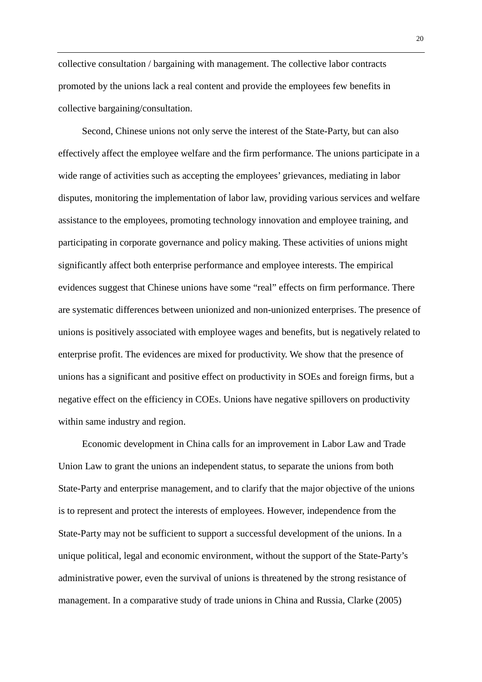collective consultation / bargaining with management. The collective labor contracts promoted by the unions lack a real content and provide the employees few benefits in collective bargaining/consultation.

Second, Chinese unions not only serve the interest of the State-Party, but can also effectively affect the employee welfare and the firm performance. The unions participate in a wide range of activities such as accepting the employees' grievances, mediating in labor disputes, monitoring the implementation of labor law, providing various services and welfare assistance to the employees, promoting technology innovation and employee training, and participating in corporate governance and policy making. These activities of unions might significantly affect both enterprise performance and employee interests. The empirical evidences suggest that Chinese unions have some "real" effects on firm performance. There are systematic differences between unionized and non-unionized enterprises. The presence of unions is positively associated with employee wages and benefits, but is negatively related to enterprise profit. The evidences are mixed for productivity. We show that the presence of unions has a significant and positive effect on productivity in SOEs and foreign firms, but a negative effect on the efficiency in COEs. Unions have negative spillovers on productivity within same industry and region.

Economic development in China calls for an improvement in Labor Law and Trade Union Law to grant the unions an independent status, to separate the unions from both State-Party and enterprise management, and to clarify that the major objective of the unions is to represent and protect the interests of employees. However, independence from the State-Party may not be sufficient to support a successful development of the unions. In a unique political, legal and economic environment, without the support of the State-Party's administrative power, even the survival of unions is threatened by the strong resistance of management. In a comparative study of trade unions in China and Russia, Clarke (2005)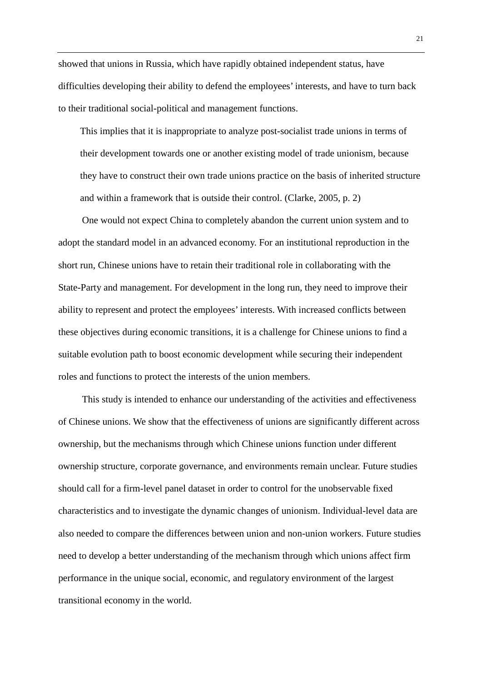showed that unions in Russia, which have rapidly obtained independent status, have difficulties developing their ability to defend the employees' interests, and have to turn back to their traditional social-political and management functions.

This implies that it is inappropriate to analyze post-socialist trade unions in terms of their development towards one or another existing model of trade unionism, because they have to construct their own trade unions practice on the basis of inherited structure and within a framework that is outside their control. (Clarke, 2005, p. 2)

One would not expect China to completely abandon the current union system and to adopt the standard model in an advanced economy. For an institutional reproduction in the short run, Chinese unions have to retain their traditional role in collaborating with the State-Party and management. For development in the long run, they need to improve their ability to represent and protect the employees' interests. With increased conflicts between these objectives during economic transitions, it is a challenge for Chinese unions to find a suitable evolution path to boost economic development while securing their independent roles and functions to protect the interests of the union members.

This study is intended to enhance our understanding of the activities and effectiveness of Chinese unions. We show that the effectiveness of unions are significantly different across ownership, but the mechanisms through which Chinese unions function under different ownership structure, corporate governance, and environments remain unclear. Future studies should call for a firm-level panel dataset in order to control for the unobservable fixed characteristics and to investigate the dynamic changes of unionism. Individual-level data are also needed to compare the differences between union and non-union workers. Future studies need to develop a better understanding of the mechanism through which unions affect firm performance in the unique social, economic, and regulatory environment of the largest transitional economy in the world.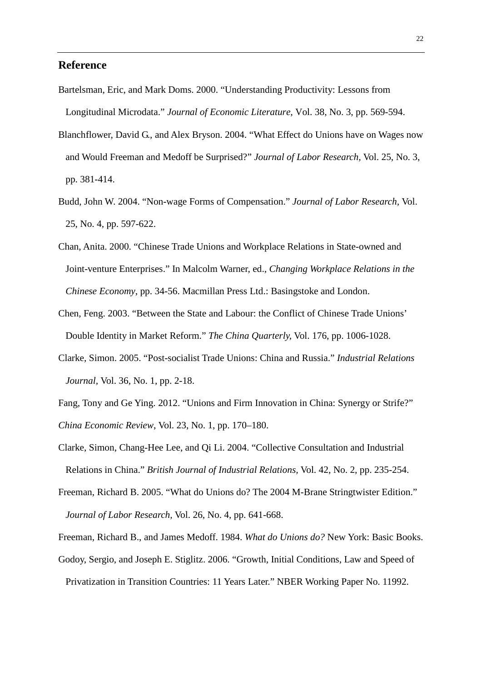#### **Reference**

- Bartelsman, Eric, and Mark Doms. 2000. "Understanding Productivity: Lessons from Longitudinal Microdata." *Journal of Economic Literature,* Vol. 38, No. 3, pp. 569-594.
- Blanchflower, David G., and Alex Bryson. 2004. "What Effect do Unions have on Wages now and Would Freeman and Medoff be Surprised?" *Journal of Labor Research,* Vol. 25, No. 3, pp. 381-414.
- Budd, John W. 2004. "Non-wage Forms of Compensation." *Journal of Labor Research,* Vol. 25, No. 4, pp. 597-622.
- Chan, Anita. 2000. "Chinese Trade Unions and Workplace Relations in State-owned and Joint-venture Enterprises." In Malcolm Warner, ed., *Changing Workplace Relations in the Chinese Economy*, pp. 34-56. Macmillan Press Ltd.: Basingstoke and London.
- Chen, Feng. 2003. "Between the State and Labour: the Conflict of Chinese Trade Unions' Double Identity in Market Reform." *The China Quarterly,* Vol. 176, pp. 1006-1028.
- Clarke, Simon. 2005. "Post-socialist Trade Unions: China and Russia." *Industrial Relations Journal,* Vol. 36, No. 1, pp. 2-18.
- Fang, Tony and Ge Ying. 2012. "Unions and Firm Innovation in China: Synergy or Strife?" *China Economic Review*, Vol. 23, No. 1, pp. 170–180.
- Clarke, Simon, Chang-Hee Lee, and Qi Li. 2004. "Collective Consultation and Industrial Relations in China." *British Journal of Industrial Relations,* Vol. 42, No. 2, pp. 235-254.
- Freeman, Richard B. 2005. "What do Unions do? The 2004 M-Brane Stringtwister Edition." *Journal of Labor Research,* Vol. 26, No. 4, pp. 641-668.
- Freeman, Richard B., and James Medoff. 1984. *What do Unions do?* New York: Basic Books.
- Godoy, Sergio, and Joseph E. Stiglitz. 2006. "Growth, Initial Conditions, Law and Speed of
	- Privatization in Transition Countries: 11 Years Later." NBER Working Paper No. 11992.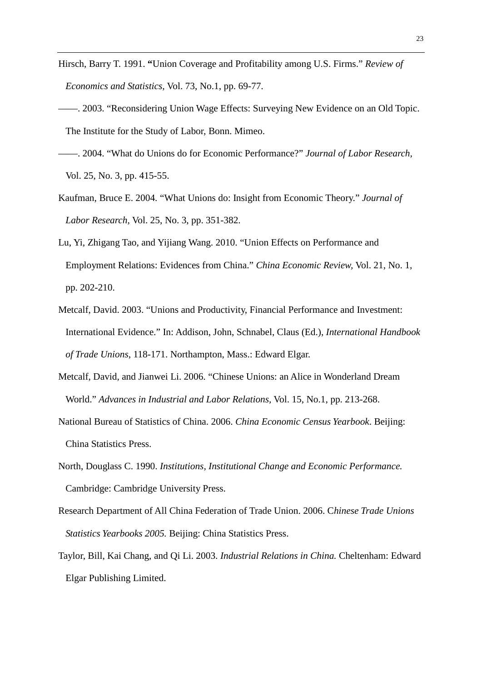- Hirsch, Barry T. 1991. **"**Union Coverage and Profitability among U.S. Firms." *Review of Economics and Statistics,* Vol. 73, No.1, pp. 69-77.
- ——. 2003. "Reconsidering Union Wage Effects: Surveying New Evidence on an Old Topic. The Institute for the Study of Labor, Bonn. Mimeo.
- ——. 2004. "What do Unions do for Economic Performance?" *Journal of Labor Research,* Vol. 25, No. 3, pp. 415-55.
- Kaufman, Bruce E. 2004. "What Unions do: Insight from Economic Theory." *Journal of Labor Research,* Vol. 25, No. 3, pp. 351-382.
- Lu, Yi, Zhigang Tao, and Yijiang Wang. 2010. "Union Effects on Performance and Employment Relations: Evidences from China." *China Economic Review,* Vol. 21, No. 1, pp. 202-210.
- Metcalf, David. 2003. "Unions and Productivity, Financial Performance and Investment: International Evidence." In: Addison, John, Schnabel, Claus (Ed.), *International Handbook of Trade Unions*, 118-171. Northampton, Mass.: Edward Elgar.
- Metcalf, David, and Jianwei Li. 2006. "Chinese Unions: an Alice in Wonderland Dream World." *Advances in Industrial and Labor Relations,* Vol. 15, No.1, pp. 213-268.
- National Bureau of Statistics of China. 2006. *China Economic Census Yearbook*. Beijing: China Statistics Press.
- North, Douglass C. 1990. *Institutions, Institutional Change and Economic Performance.* Cambridge: Cambridge University Press.
- Research Department of All China Federation of Trade Union. 2006. C*hinese Trade Unions Statistics Yearbooks 2005.* Beijing: China Statistics Press.
- Taylor, Bill, Kai Chang, and Qi Li. 2003. *Industrial Relations in China.* Cheltenham: Edward Elgar Publishing Limited.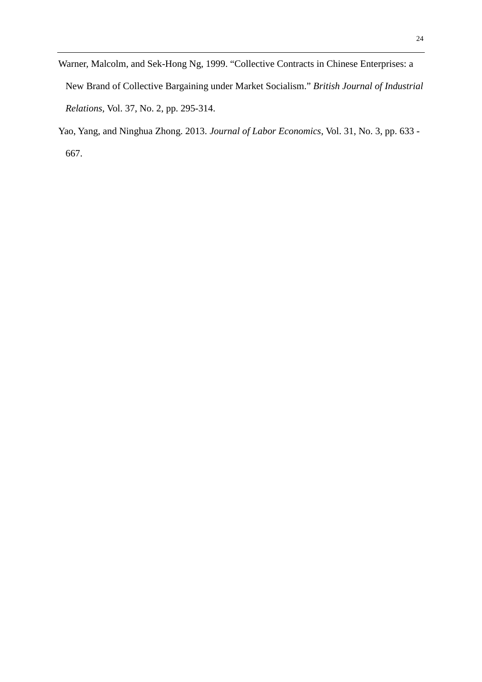- Warner, Malcolm, and Sek-Hong Ng, 1999. "Collective Contracts in Chinese Enterprises: a New Brand of Collective Bargaining under Market Socialism." *British Journal of Industrial Relations,* Vol. 37, No. 2, pp. 295-314.
- Yao, Yang, and Ninghua Zhong. 2013. *Journal of Labor Economics*, Vol. 31, No. 3, pp. 633 667.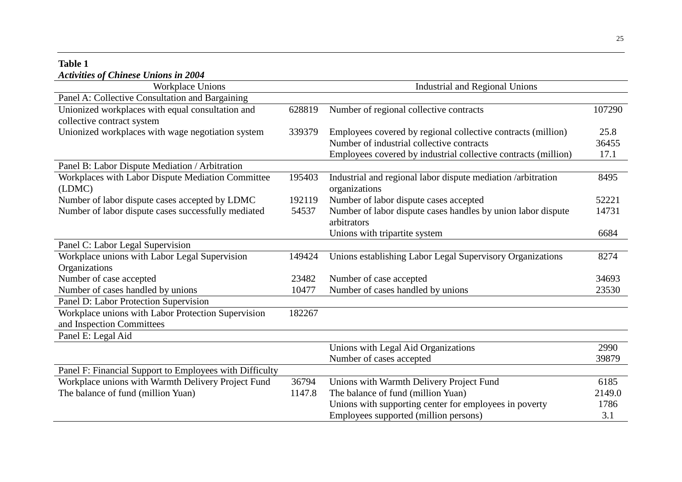### **Table 1**  *Activities of Chinese Unions in 2004*

| Workplace Unions                                        |        | <b>Industrial and Regional Unions</b>                          |                |  |
|---------------------------------------------------------|--------|----------------------------------------------------------------|----------------|--|
| Panel A: Collective Consultation and Bargaining         |        |                                                                |                |  |
| Unionized workplaces with equal consultation and        | 628819 | Number of regional collective contracts                        | 107290         |  |
| collective contract system                              |        |                                                                |                |  |
| Unionized workplaces with wage negotiation system       | 339379 | Employees covered by regional collective contracts (million)   | 25.8           |  |
|                                                         |        | Number of industrial collective contracts                      | 36455          |  |
|                                                         |        | Employees covered by industrial collective contracts (million) | 17.1           |  |
| Panel B: Labor Dispute Mediation / Arbitration          |        |                                                                |                |  |
| Workplaces with Labor Dispute Mediation Committee       | 195403 | Industrial and regional labor dispute mediation /arbitration   | 8495           |  |
| (LDMC)                                                  |        | organizations                                                  |                |  |
| Number of labor dispute cases accepted by LDMC          | 192119 | Number of labor dispute cases accepted                         | 52221          |  |
| Number of labor dispute cases successfully mediated     | 54537  | Number of labor dispute cases handles by union labor dispute   | 14731          |  |
|                                                         |        | arbitrators                                                    |                |  |
|                                                         |        | Unions with tripartite system                                  | 6684           |  |
| Panel C: Labor Legal Supervision                        |        |                                                                |                |  |
| Workplace unions with Labor Legal Supervision           | 149424 | Unions establishing Labor Legal Supervisory Organizations      | 8274           |  |
| Organizations                                           |        |                                                                |                |  |
| Number of case accepted                                 | 23482  | Number of case accepted                                        | 34693<br>23530 |  |
| Number of cases handled by unions                       | 10477  | Number of cases handled by unions                              |                |  |
| Panel D: Labor Protection Supervision                   |        |                                                                |                |  |
| Workplace unions with Labor Protection Supervision      | 182267 |                                                                |                |  |
| and Inspection Committees                               |        |                                                                |                |  |
| Panel E: Legal Aid                                      |        |                                                                |                |  |
|                                                         |        | Unions with Legal Aid Organizations                            | 2990           |  |
|                                                         |        | Number of cases accepted                                       | 39879          |  |
| Panel F: Financial Support to Employees with Difficulty |        |                                                                |                |  |
| Workplace unions with Warmth Delivery Project Fund      | 36794  | Unions with Warmth Delivery Project Fund                       | 6185           |  |
| The balance of fund (million Yuan)                      | 1147.8 | The balance of fund (million Yuan)                             | 2149.0         |  |
|                                                         |        | Unions with supporting center for employees in poverty         | 1786           |  |
|                                                         |        | Employees supported (million persons)                          | 3.1            |  |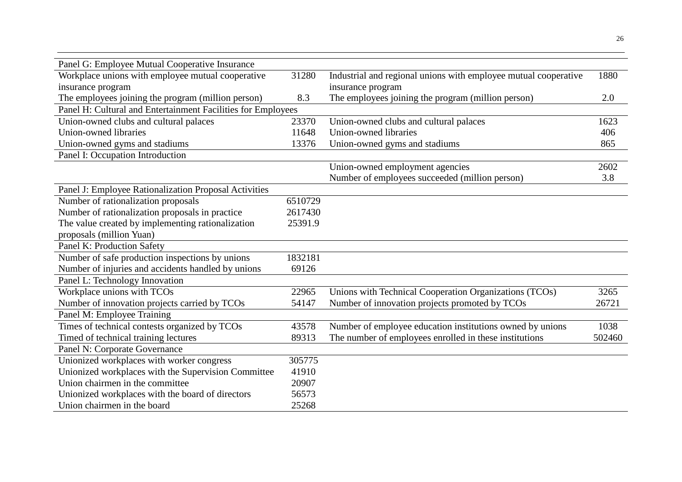| Panel G: Employee Mutual Cooperative Insurance               |         |                                                                 |        |
|--------------------------------------------------------------|---------|-----------------------------------------------------------------|--------|
| Workplace unions with employee mutual cooperative            | 31280   | Industrial and regional unions with employee mutual cooperative | 1880   |
| insurance program                                            |         | insurance program                                               |        |
| The employees joining the program (million person)           | 8.3     | The employees joining the program (million person)              | 2.0    |
| Panel H: Cultural and Entertainment Facilities for Employees |         |                                                                 |        |
| Union-owned clubs and cultural palaces                       | 23370   | Union-owned clubs and cultural palaces                          | 1623   |
| Union-owned libraries                                        | 11648   | Union-owned libraries                                           | 406    |
| Union-owned gyms and stadiums                                | 13376   | Union-owned gyms and stadiums                                   | 865    |
| Panel I: Occupation Introduction                             |         |                                                                 |        |
|                                                              |         | Union-owned employment agencies                                 | 2602   |
|                                                              |         | Number of employees succeeded (million person)                  | 3.8    |
| Panel J: Employee Rationalization Proposal Activities        |         |                                                                 |        |
| Number of rationalization proposals                          | 6510729 |                                                                 |        |
| Number of rationalization proposals in practice              | 2617430 |                                                                 |        |
| The value created by implementing rationalization            | 25391.9 |                                                                 |        |
| proposals (million Yuan)                                     |         |                                                                 |        |
| Panel K: Production Safety                                   |         |                                                                 |        |
| Number of safe production inspections by unions              | 1832181 |                                                                 |        |
| Number of injuries and accidents handled by unions           | 69126   |                                                                 |        |
| Panel L: Technology Innovation                               |         |                                                                 |        |
| Workplace unions with TCOs                                   | 22965   | Unions with Technical Cooperation Organizations (TCOs)          | 3265   |
| Number of innovation projects carried by TCOs                | 54147   | Number of innovation projects promoted by TCOs                  | 26721  |
| Panel M: Employee Training                                   |         |                                                                 |        |
| Times of technical contests organized by TCOs                | 43578   | Number of employee education institutions owned by unions       | 1038   |
| Timed of technical training lectures                         | 89313   | The number of employees enrolled in these institutions          | 502460 |
| Panel N: Corporate Governance                                |         |                                                                 |        |
| Unionized workplaces with worker congress                    | 305775  |                                                                 |        |
| Unionized workplaces with the Supervision Committee          | 41910   |                                                                 |        |
| Union chairmen in the committee                              | 20907   |                                                                 |        |
| Unionized workplaces with the board of directors             | 56573   |                                                                 |        |
| Union chairmen in the board                                  | 25268   |                                                                 |        |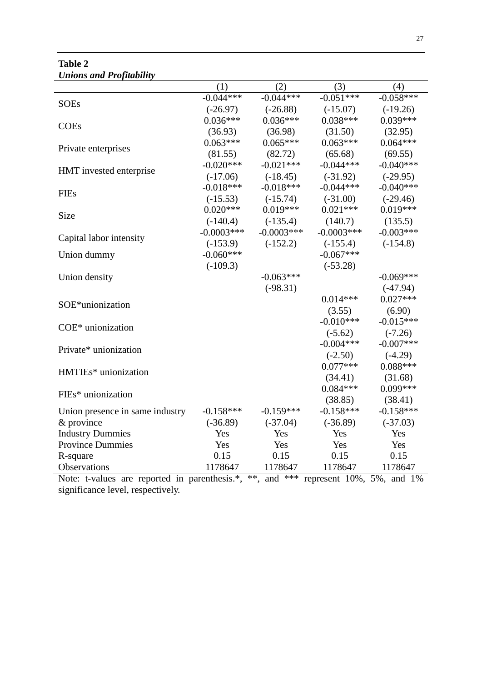| <b>Table 2</b>                  |
|---------------------------------|
| <b>Unions and Profitability</b> |

|                                 | (1)          | (2)          | (3)          | (4)         |
|---------------------------------|--------------|--------------|--------------|-------------|
| <b>SOEs</b>                     | $-0.044***$  | $-0.044***$  | $-0.051***$  | $-0.058***$ |
|                                 | $(-26.97)$   | $(-26.88)$   | $(-15.07)$   | $(-19.26)$  |
| <b>COEs</b>                     | $0.036***$   | $0.036***$   | $0.038***$   | $0.039***$  |
|                                 | (36.93)      | (36.98)      | (31.50)      | (32.95)     |
| Private enterprises             | $0.063***$   | $0.065***$   | $0.063***$   | $0.064***$  |
|                                 | (81.55)      | (82.72)      | (65.68)      | (69.55)     |
| HMT invested enterprise         | $-0.020***$  | $-0.021***$  | $-0.044***$  | $-0.040***$ |
|                                 | $(-17.06)$   | $(-18.45)$   | $(-31.92)$   | $(-29.95)$  |
| <b>FIEs</b>                     | $-0.018***$  | $-0.018***$  | $-0.044***$  | $-0.040***$ |
|                                 | $(-15.53)$   | $(-15.74)$   | $(-31.00)$   | $(-29.46)$  |
| Size                            | $0.020***$   | $0.019***$   | $0.021***$   | $0.019***$  |
|                                 | $(-140.4)$   | $(-135.4)$   | (140.7)      | (135.5)     |
| Capital labor intensity         | $-0.0003***$ | $-0.0003***$ | $-0.0003***$ | $-0.003***$ |
|                                 | $(-153.9)$   | $(-152.2)$   | $(-155.4)$   | $(-154.8)$  |
| Union dummy                     | $-0.060***$  |              | $-0.067***$  |             |
|                                 | $(-109.3)$   |              | $(-53.28)$   |             |
| Union density                   |              | $-0.063***$  |              | $-0.069***$ |
|                                 |              | $(-98.31)$   |              | $(-47.94)$  |
|                                 |              |              | $0.014***$   | $0.027***$  |
| SOE*unionization                |              |              | (3.55)       | (6.90)      |
| COE <sup>*</sup> unionization   |              |              | $-0.010***$  | $-0.015***$ |
|                                 |              |              | $(-5.62)$    | $(-7.26)$   |
|                                 |              |              | $-0.004***$  | $-0.007***$ |
| Private* unionization           |              |              | $(-2.50)$    | $(-4.29)$   |
| HMTIEs* unionization            |              |              | $0.077***$   | $0.088***$  |
|                                 |              |              | (34.41)      | (31.68)     |
|                                 |              |              | $0.084***$   | $0.099***$  |
| FIEs* unionization              |              |              | (38.85)      | (38.41)     |
| Union presence in same industry | $-0.158***$  | $-0.159***$  | $-0.158***$  | $-0.158***$ |
| & province                      | $(-36.89)$   | $(-37.04)$   | $(-36.89)$   | $(-37.03)$  |
| <b>Industry Dummies</b>         | Yes          | Yes          | Yes          | Yes         |
| <b>Province Dummies</b>         | Yes          | Yes          | Yes          | Yes         |
| R-square                        | 0.15         | 0.15         | 0.15         | 0.15        |
| Observations                    | 1178647      | 1178647      | 1178647      | 1178647     |

Note: t-values are reported in parenthesis.\*, \*\*, and \*\*\* represent 10%, 5%, and 1% significance level, respectively.